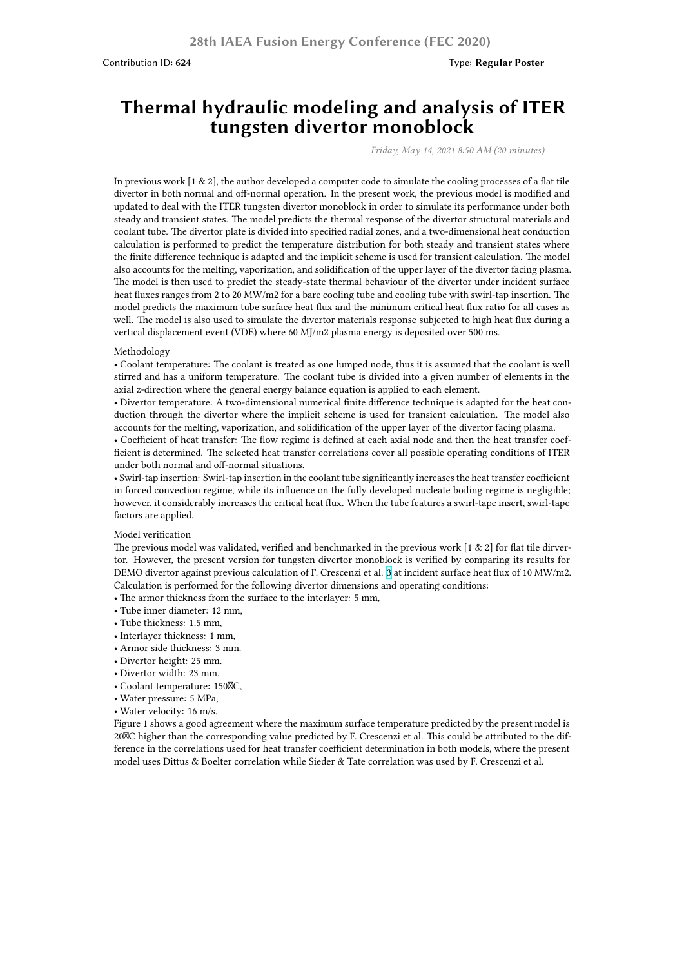# **Thermal hydraulic modeling and analysis of ITER tungsten divertor monoblock**

*Friday, May 14, 2021 8:50 AM (20 minutes)*

In previous work [1 & 2], the author developed a computer code to simulate the cooling processes of a flat tile divertor in both normal and off-normal operation. In the present work, the previous model is modified and updated to deal with the ITER tungsten divertor monoblock in order to simulate its performance under both steady and transient states. The model predicts the thermal response of the divertor structural materials and coolant tube. The divertor plate is divided into specified radial zones, and a two-dimensional heat conduction calculation is performed to predict the temperature distribution for both steady and transient states where the finite difference technique is adapted and the implicit scheme is used for transient calculation. The model also accounts for the melting, vaporization, and solidification of the upper layer of the divertor facing plasma. The model is then used to predict the steady-state thermal behaviour of the divertor under incident surface heat fluxes ranges from 2 to 20 MW/m2 for a bare cooling tube and cooling tube with swirl-tap insertion. The model predicts the maximum tube surface heat flux and the minimum critical heat flux ratio for all cases as well. The model is also used to simulate the divertor materials response subjected to high heat flux during a vertical displacement event (VDE) where 60 MJ/m2 plasma energy is deposited over 500 ms.

#### Methodology

• Coolant temperature: The coolant is treated as one lumped node, thus it is assumed that the coolant is well stirred and has a uniform temperature. The coolant tube is divided into a given number of elements in the axial z-direction where the general energy balance equation is applied to each element.

• Divertor temperature: A two-dimensional numerical finite difference technique is adapted for the heat conduction through the divertor where the implicit scheme is used for transient calculation. The model also accounts for the melting, vaporization, and solidification of the upper layer of the divertor facing plasma.

• Coefficient of heat transfer: The flow regime is defined at each axial node and then the heat transfer coefficient is determined. The selected heat transfer correlations cover all possible operating conditions of ITER under both normal and off-normal situations.

• Swirl-tap insertion: Swirl-tap insertion in the coolant tube significantly increases the heat transfer coefficient in forced convection regime, while its influence on the fully developed nucleate boiling regime is negligible; however, it considerably increases the critical heat flux. When the tube features a swirl-tape insert, swirl-tape factors are applied.

### Model verification

The previous model was validated, verified and benchmarked in the previous work [1 & 2] for flat tile dirvertor. However, the present version for tungsten divertor monoblock is verified by comparing its results for DEMO divertor against previous calculation of F. Crescenzi et al. 3 at incident surface heat flux of 10 MW/m2. Calculation is performed for the following divertor dimensions and operating conditions:

• The armor thickness from the surface to the interlayer: 5 mm,

- Tube inner diameter: 12 mm,
- Tube thickness: 1.5 mm,
- Interlayer thickness: 1 mm,
- Armor side thickness: 3 mm.
- Divertor height: 25 mm.
- Divertor width: 23 mm.
- Coolant temperature: 150C,
- Water pressure: 5 MPa,
- Water velocity: 16 m/s.

Figure 1 shows a good agreement where the maximum surface temperature predicted by the present model is 20C higher than the corresponding value predicted by F. Crescenzi et al. This could be attributed to the difference in the correlations used for heat transfer coefficient determination in both models, where the present model uses Dittus & Boelter correlation while Sieder & Tate correlation was used by F. Crescenzi et al.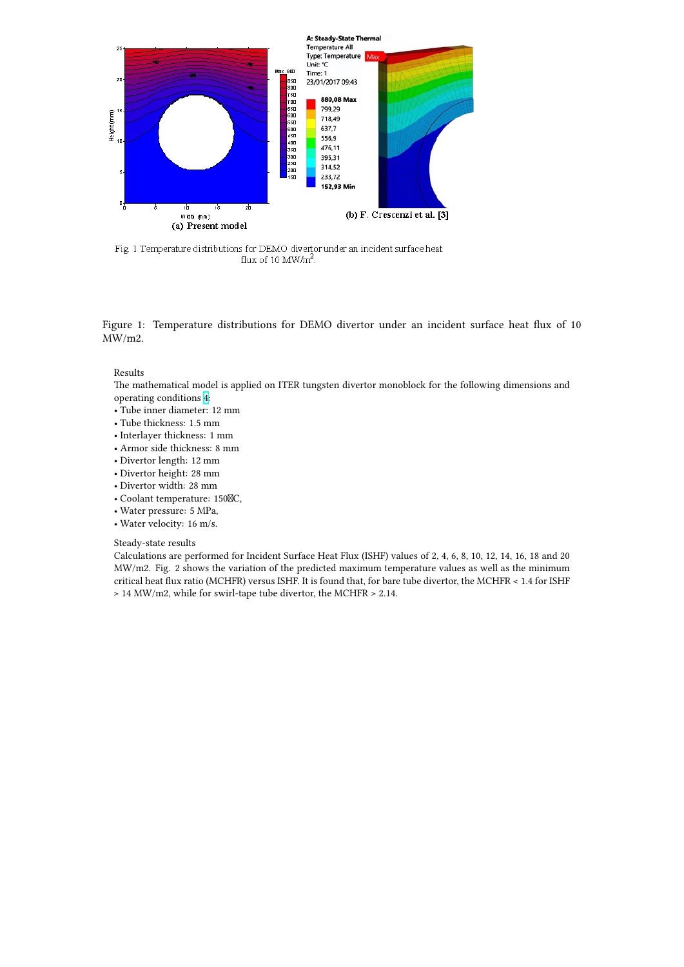

Fig. 1 Temperature distributions for DEMO divertor under an incident surface heat flux of 10 MW/m<sup>2</sup>.

Figure 1: Temperature distributions for DEMO divertor under an incident surface heat flux of 10 MW/m2.

### Results

The mathematical model is applied on ITER tungsten divertor monoblock for the following dimensions and operating conditions 4:

- Tube inner diameter: 12 mm
- Tube thickness: 1.5 mm
- Interlayer thickness: 1 mm
- Armor side thickness: 8 mm
- Divertor length: 12 [m](https://i.ibb.co/gTkFKwn/Fig-4.jpg)m
- Divertor height: 28 mm
- Divertor width: 28 mm
- Coolant temperature: 150 $\n$ C,
- Water pressure: 5 MPa,
- Water velocity: 16 m/s.

## Steady-state results

Calculations are performed for Incident Surface Heat Flux (ISHF) values of 2, 4, 6, 8, 10, 12, 14, 16, 18 and 20 MW/m2. Fig. 2 shows the variation of the predicted maximum temperature values as well as the minimum critical heat flux ratio (MCHFR) versus ISHF. It is found that, for bare tube divertor, the MCHFR < 1.4 for ISHF > 14 MW/m2, while for swirl-tape tube divertor, the MCHFR > 2.14.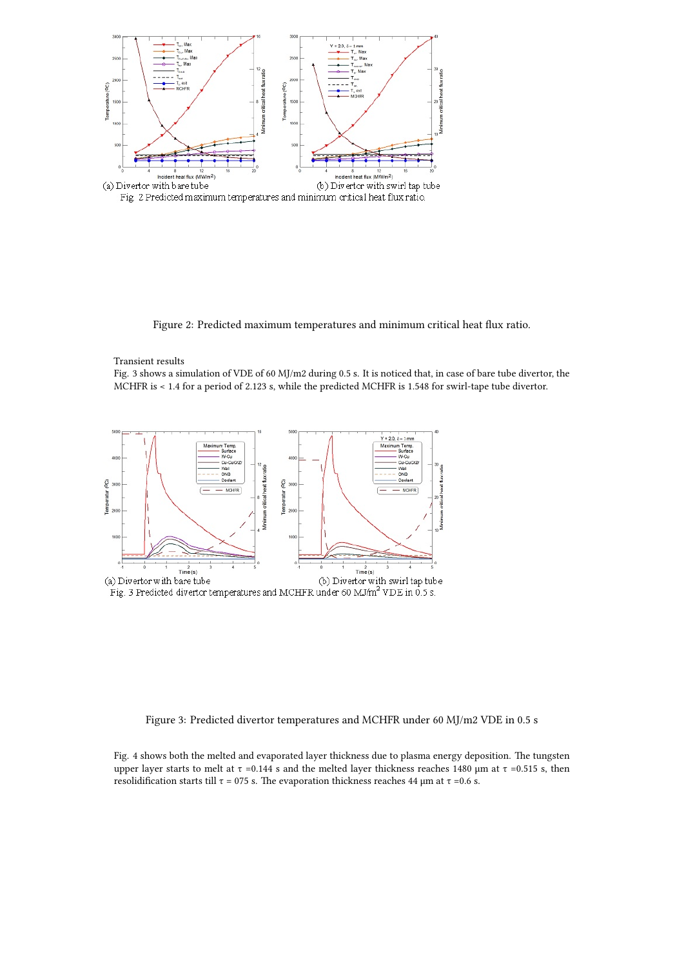

Figure 2: Predicted maximum temperatures and minimum critical heat flux ratio.

### Transient results

Fig. 3 shows a simulation of VDE of 60 MJ/m2 during 0.5 s. It is noticed that, in case of bare tube divertor, the MCHFR is < 1.4 for a period of 2.123 s, while the predicted MCHFR is 1.548 for swirl-tape tube divertor.



Figure 3: Predicted divertor temperatures and MCHFR under 60 MJ/m2 VDE in 0.5 s

Fig. 4 shows both the melted and evaporated layer thickness due to plasma energy deposition. The tungsten upper layer starts to melt at τ = 0.144 s and the melted layer thickness reaches 1480 μm at τ = 0.515 s, then resolidification starts till  $τ = 075$  s. The evaporation thickness reaches 44 μm at  $τ = 0.6$  s.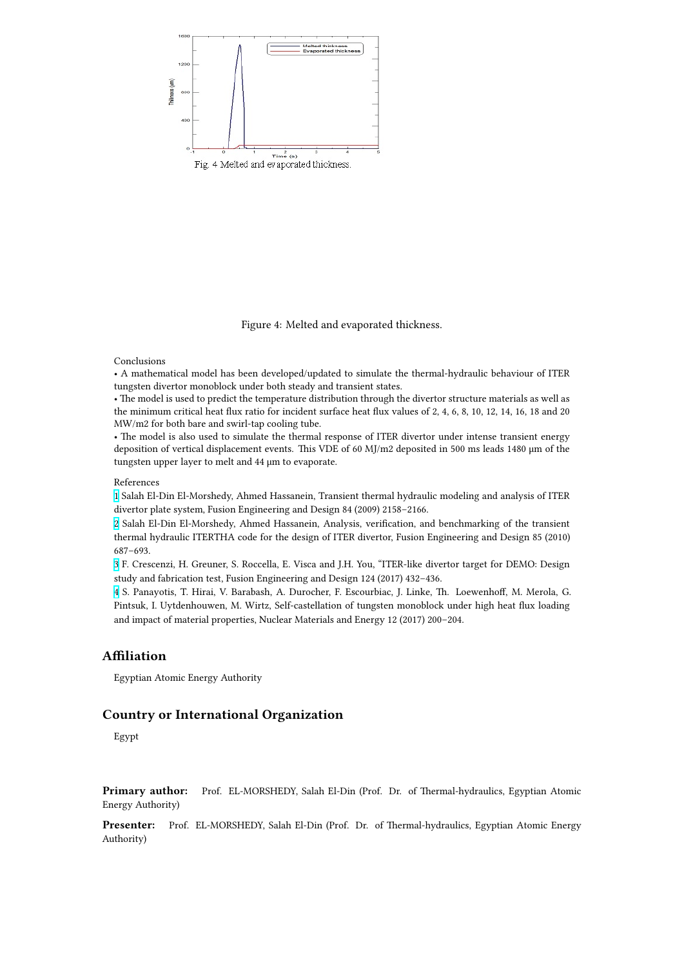

Figure 4: Melted and evaporated thickness.

## Conclusions

• A mathematical model has been developed/updated to simulate the thermal-hydraulic behaviour of ITER tungsten divertor monoblock under both steady and transient states.

• The model is used to predict the temperature distribution through the divertor structure materials as well as the minimum critical heat flux ratio for incident surface heat flux values of 2, 4, 6, 8, 10, 12, 14, 16, 18 and 20 MW/m2 for both bare and swirl-tap cooling tube.

• The model is also used to simulate the thermal response of ITER divertor under intense transient energy deposition of vertical displacement events. This VDE of 60 MJ/m2 deposited in 500 ms leads 1480 μm of the tungsten upper layer to melt and 44 μm to evaporate.

# References

1 Salah El-Din El-Morshedy, Ahmed Hassanein, Transient thermal hydraulic modeling and analysis of ITER divertor plate system, Fusion Engineering and Design 84 (2009) 2158–2166.

2 Salah El-Din El-Morshedy, Ahmed Hassanein, Analysis, verification, and benchmarking of the transient thermal hydraulic ITERTHA code for the design of ITER divertor, Fusion Engineering and Design 85 (2010) [6](https://i.ibb.co/M7bwtnK/Fig-1.jpg)87–693.

3 F. Crescenzi, H. Greuner, S. Roccella, E. Visca and J.H. You, "ITER-like divertor target for DEMO: Design [st](https://i.ibb.co/89YzBbb/Fig-2.jpg)udy and fabrication test, Fusion Engineering and Design 124 (2017) 432–436.

4 S. Panayotis, T. Hirai, V. Barabash, A. Durocher, F. Escourbiac, J. Linke, Th. Loewenhoff, M. Merola, G. Pintsuk, I. Uytdenhouwen, M. Wirtz, Self-castellation of tungsten monoblock under high heat flux loading [a](https://i.ibb.co/hsqcwBn/Fig-3.jpg)nd impact of material properties, Nuclear Materials and Energy 12 (2017) 200–204.

# **A[ffi](https://i.ibb.co/gTkFKwn/Fig-4.jpg)liation**

Egyptian Atomic Energy Authority

# **Country or International Organization**

Egypt

**Primary author:** Prof. EL-MORSHEDY, Salah El-Din (Prof. Dr. of Thermal-hydraulics, Egyptian Atomic Energy Authority)

**Presenter:** Prof. EL-MORSHEDY, Salah El-Din (Prof. Dr. of Thermal-hydraulics, Egyptian Atomic Energy Authority)